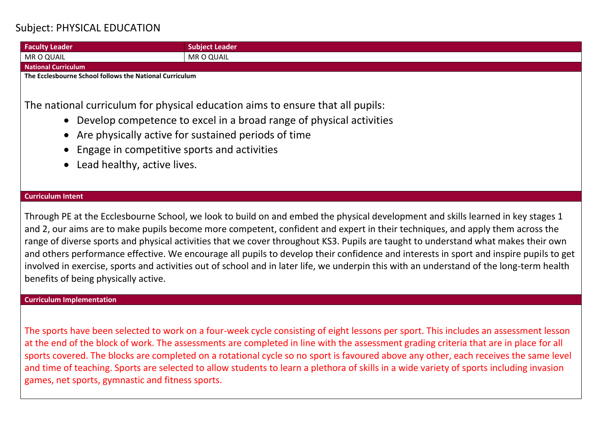## Subject: PHYSICAL EDUCATION

**Faculty Leader Subject Leader Subject Leader** MR O QUAIL MR O QUAIL **National Curriculum The Ecclesbourne School follows the National Curriculum** The national curriculum for physical education aims to ensure that all pupils: • Develop competence to excel in a broad range of physical activities • Are physically active for sustained periods of time • Engage in competitive sports and activities • Lead healthy, active lives.

## **Curriculum Intent**

Through PE at the Ecclesbourne School, we look to build on and embed the physical development and skills learned in key stages 1 and 2, our aims are to make pupils become more competent, confident and expert in their techniques, and apply them across the range of diverse sports and physical activities that we cover throughout KS3. Pupils are taught to understand what makes their own and others performance effective. We encourage all pupils to develop their confidence and interests in sport and inspire pupils to get involved in exercise, sports and activities out of school and in later life, we underpin this with an understand of the long-term health benefits of being physically active.

## **Curriculum Implementation**

The sports have been selected to work on a four-week cycle consisting of eight lessons per sport. This includes an assessment lesson at the end of the block of work. The assessments are completed in line with the assessment grading criteria that are in place for all sports covered. The blocks are completed on a rotational cycle so no sport is favoured above any other, each receives the same level and time of teaching. Sports are selected to allow students to learn a plethora of skills in a wide variety of sports including invasion games, net sports, gymnastic and fitness sports.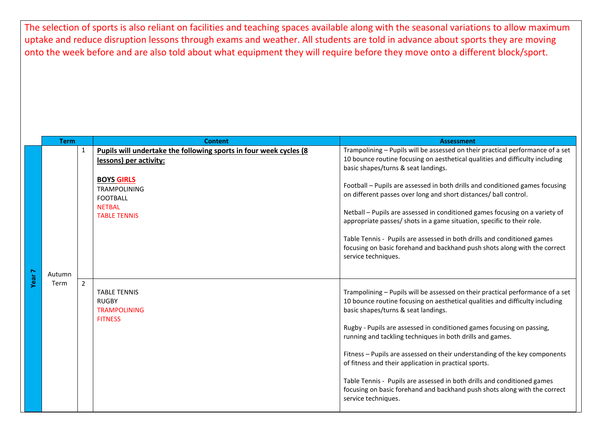The selection of sports is also reliant on facilities and teaching spaces available along with the seasonal variations to allow maximum uptake and reduce disruption lessons through exams and weather. All students are told in advance about sports they are moving onto the week before and are also told about what equipment they will require before they move onto a different block/sport.

|                   | <b>Term</b>    |                | <b>Content</b>                                                                                      | <b>Assessment</b>                                                                                                                                                                                                                                                                                                                                                                    |
|-------------------|----------------|----------------|-----------------------------------------------------------------------------------------------------|--------------------------------------------------------------------------------------------------------------------------------------------------------------------------------------------------------------------------------------------------------------------------------------------------------------------------------------------------------------------------------------|
|                   |                | 1              | Pupils will undertake the following sports in four week cycles (8<br>lessons) per activity:         | Trampolining - Pupils will be assessed on their practical performance of a set<br>10 bounce routine focusing on aesthetical qualities and difficulty including<br>basic shapes/turns & seat landings.                                                                                                                                                                                |
|                   | Autumn<br>Term |                | <b>BOYS GIRLS</b><br><b>TRAMPOLINING</b><br><b>FOOTBALL</b><br><b>NETBAL</b><br><b>TABLE TENNIS</b> | Football - Pupils are assessed in both drills and conditioned games focusing<br>on different passes over long and short distances/ ball control.<br>Netball - Pupils are assessed in conditioned games focusing on a variety of<br>appropriate passes/ shots in a game situation, specific to their role.<br>Table Tennis - Pupils are assessed in both drills and conditioned games |
|                   |                |                |                                                                                                     | focusing on basic forehand and backhand push shots along with the correct<br>service techniques.                                                                                                                                                                                                                                                                                     |
| Year <sub>7</sub> |                | $\overline{2}$ | <b>TABLE TENNIS</b><br><b>RUGBY</b><br><b>TRAMPOLINING</b><br><b>FITNESS</b>                        | Trampolining - Pupils will be assessed on their practical performance of a set<br>10 bounce routine focusing on aesthetical qualities and difficulty including<br>basic shapes/turns & seat landings.<br>Rugby - Pupils are assessed in conditioned games focusing on passing,<br>running and tackling techniques in both drills and games.                                          |
|                   |                |                |                                                                                                     | Fitness - Pupils are assessed on their understanding of the key components<br>of fitness and their application in practical sports.<br>Table Tennis - Pupils are assessed in both drills and conditioned games<br>focusing on basic forehand and backhand push shots along with the correct<br>service techniques.                                                                   |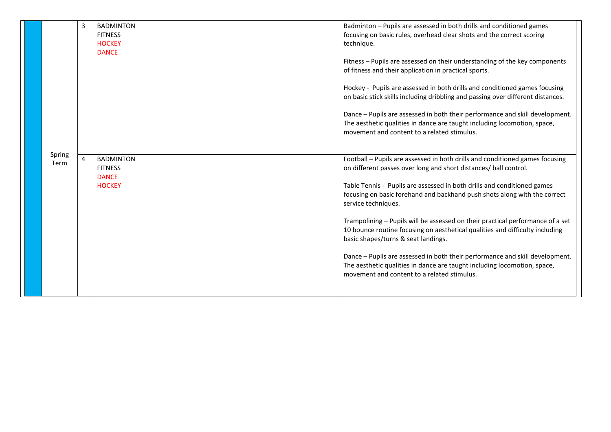|                | 3 | <b>BADMINTON</b><br><b>FITNESS</b><br><b>HOCKEY</b><br><b>DANCE</b> | Badminton - Pupils are assessed in both drills and conditioned games<br>focusing on basic rules, overhead clear shots and the correct scoring<br>technique.<br>Fitness - Pupils are assessed on their understanding of the key components<br>of fitness and their application in practical sports.<br>Hockey - Pupils are assessed in both drills and conditioned games focusing<br>on basic stick skills including dribbling and passing over different distances.<br>Dance - Pupils are assessed in both their performance and skill development.<br>The aesthetic qualities in dance are taught including locomotion, space,<br>movement and content to a related stimulus.                                                                      |
|----------------|---|---------------------------------------------------------------------|-----------------------------------------------------------------------------------------------------------------------------------------------------------------------------------------------------------------------------------------------------------------------------------------------------------------------------------------------------------------------------------------------------------------------------------------------------------------------------------------------------------------------------------------------------------------------------------------------------------------------------------------------------------------------------------------------------------------------------------------------------|
| Spring<br>Term | 4 | <b>BADMINTON</b><br><b>FITNESS</b><br><b>DANCE</b><br><b>HOCKEY</b> | Football - Pupils are assessed in both drills and conditioned games focusing<br>on different passes over long and short distances/ ball control.<br>Table Tennis - Pupils are assessed in both drills and conditioned games<br>focusing on basic forehand and backhand push shots along with the correct<br>service techniques.<br>Trampolining - Pupils will be assessed on their practical performance of a set<br>10 bounce routine focusing on aesthetical qualities and difficulty including<br>basic shapes/turns & seat landings.<br>Dance - Pupils are assessed in both their performance and skill development.<br>The aesthetic qualities in dance are taught including locomotion, space,<br>movement and content to a related stimulus. |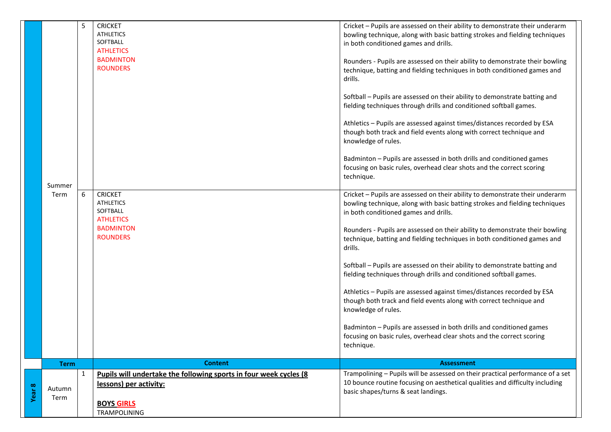|        | Summer<br>Term | 5<br>6       | <b>CRICKET</b><br><b>ATHLETICS</b><br>SOFTBALL<br><b>ATHLETICS</b><br><b>BADMINTON</b><br><b>ROUNDERS</b><br><b>CRICKET</b><br><b>ATHLETICS</b><br>SOFTBALL<br><b>ATHLETICS</b><br><b>BADMINTON</b><br><b>ROUNDERS</b> | Cricket - Pupils are assessed on their ability to demonstrate their underarm<br>bowling technique, along with basic batting strokes and fielding techniques<br>in both conditioned games and drills.<br>Rounders - Pupils are assessed on their ability to demonstrate their bowling<br>technique, batting and fielding techniques in both conditioned games and<br>drills.<br>Softball - Pupils are assessed on their ability to demonstrate batting and<br>fielding techniques through drills and conditioned softball games.<br>Athletics - Pupils are assessed against times/distances recorded by ESA<br>though both track and field events along with correct technique and<br>knowledge of rules.<br>Badminton - Pupils are assessed in both drills and conditioned games<br>focusing on basic rules, overhead clear shots and the correct scoring<br>technique.<br>Cricket - Pupils are assessed on their ability to demonstrate their underarm<br>bowling technique, along with basic batting strokes and fielding techniques<br>in both conditioned games and drills.<br>Rounders - Pupils are assessed on their ability to demonstrate their bowling<br>technique, batting and fielding techniques in both conditioned games and<br>drills.<br>Softball - Pupils are assessed on their ability to demonstrate batting and<br>fielding techniques through drills and conditioned softball games.<br>Athletics - Pupils are assessed against times/distances recorded by ESA<br>though both track and field events along with correct technique and<br>knowledge of rules.<br>Badminton - Pupils are assessed in both drills and conditioned games<br>focusing on basic rules, overhead clear shots and the correct scoring |
|--------|----------------|--------------|------------------------------------------------------------------------------------------------------------------------------------------------------------------------------------------------------------------------|--------------------------------------------------------------------------------------------------------------------------------------------------------------------------------------------------------------------------------------------------------------------------------------------------------------------------------------------------------------------------------------------------------------------------------------------------------------------------------------------------------------------------------------------------------------------------------------------------------------------------------------------------------------------------------------------------------------------------------------------------------------------------------------------------------------------------------------------------------------------------------------------------------------------------------------------------------------------------------------------------------------------------------------------------------------------------------------------------------------------------------------------------------------------------------------------------------------------------------------------------------------------------------------------------------------------------------------------------------------------------------------------------------------------------------------------------------------------------------------------------------------------------------------------------------------------------------------------------------------------------------------------------------------------------------------------------------------------------------------|
|        |                |              |                                                                                                                                                                                                                        | technique.                                                                                                                                                                                                                                                                                                                                                                                                                                                                                                                                                                                                                                                                                                                                                                                                                                                                                                                                                                                                                                                                                                                                                                                                                                                                                                                                                                                                                                                                                                                                                                                                                                                                                                                           |
|        | <b>Term</b>    |              | <b>Content</b>                                                                                                                                                                                                         | <b>Assessment</b>                                                                                                                                                                                                                                                                                                                                                                                                                                                                                                                                                                                                                                                                                                                                                                                                                                                                                                                                                                                                                                                                                                                                                                                                                                                                                                                                                                                                                                                                                                                                                                                                                                                                                                                    |
| Year 8 | Autumn<br>Term | $\mathbf{1}$ | Pupils will undertake the following sports in four week cycles (8<br>lessons) per activity:<br><b>BOYS GIRLS</b>                                                                                                       | Trampolining - Pupils will be assessed on their practical performance of a set<br>10 bounce routine focusing on aesthetical qualities and difficulty including<br>basic shapes/turns & seat landings.                                                                                                                                                                                                                                                                                                                                                                                                                                                                                                                                                                                                                                                                                                                                                                                                                                                                                                                                                                                                                                                                                                                                                                                                                                                                                                                                                                                                                                                                                                                                |
|        |                |              | TRAMPOLINING                                                                                                                                                                                                           |                                                                                                                                                                                                                                                                                                                                                                                                                                                                                                                                                                                                                                                                                                                                                                                                                                                                                                                                                                                                                                                                                                                                                                                                                                                                                                                                                                                                                                                                                                                                                                                                                                                                                                                                      |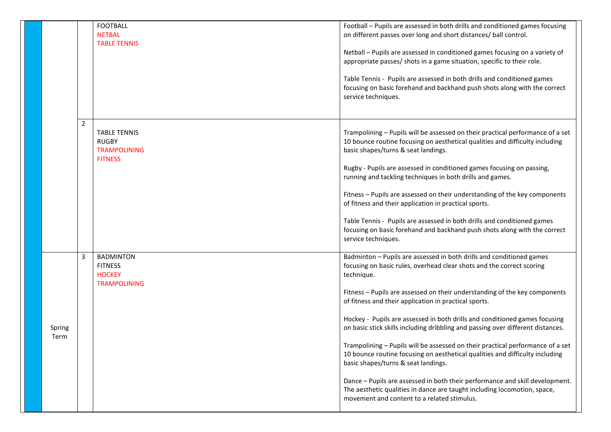|                |                | <b>FOOTBALL</b><br><b>NETBAL</b><br><b>TABLE TENNIS</b>                      | Football - Pupils are assessed in both drills and conditioned games focusing<br>on different passes over long and short distances/ ball control.<br>Netball - Pupils are assessed in conditioned games focusing on a variety of<br>appropriate passes/ shots in a game situation, specific to their role.<br>Table Tennis - Pupils are assessed in both drills and conditioned games<br>focusing on basic forehand and backhand push shots along with the correct<br>service techniques.                                                                                                                                                                                                                                                                                                                                                                                                |
|----------------|----------------|------------------------------------------------------------------------------|-----------------------------------------------------------------------------------------------------------------------------------------------------------------------------------------------------------------------------------------------------------------------------------------------------------------------------------------------------------------------------------------------------------------------------------------------------------------------------------------------------------------------------------------------------------------------------------------------------------------------------------------------------------------------------------------------------------------------------------------------------------------------------------------------------------------------------------------------------------------------------------------|
|                | $\overline{2}$ | <b>TABLE TENNIS</b><br><b>RUGBY</b><br><b>TRAMPOLINING</b><br><b>FITNESS</b> | Trampolining - Pupils will be assessed on their practical performance of a set<br>10 bounce routine focusing on aesthetical qualities and difficulty including<br>basic shapes/turns & seat landings.<br>Rugby - Pupils are assessed in conditioned games focusing on passing,<br>running and tackling techniques in both drills and games.<br>Fitness - Pupils are assessed on their understanding of the key components<br>of fitness and their application in practical sports.<br>Table Tennis - Pupils are assessed in both drills and conditioned games<br>focusing on basic forehand and backhand push shots along with the correct<br>service techniques.                                                                                                                                                                                                                       |
| Spring<br>Term | 3              | <b>BADMINTON</b><br><b>FITNESS</b><br><b>HOCKEY</b><br><b>TRAMPOLINING</b>   | Badminton - Pupils are assessed in both drills and conditioned games<br>focusing on basic rules, overhead clear shots and the correct scoring<br>technique.<br>Fitness - Pupils are assessed on their understanding of the key components<br>of fitness and their application in practical sports.<br>Hockey - Pupils are assessed in both drills and conditioned games focusing<br>on basic stick skills including dribbling and passing over different distances.<br>Trampolining - Pupils will be assessed on their practical performance of a set<br>10 bounce routine focusing on aesthetical qualities and difficulty including<br>basic shapes/turns & seat landings.<br>Dance - Pupils are assessed in both their performance and skill development.<br>The aesthetic qualities in dance are taught including locomotion, space,<br>movement and content to a related stimulus. |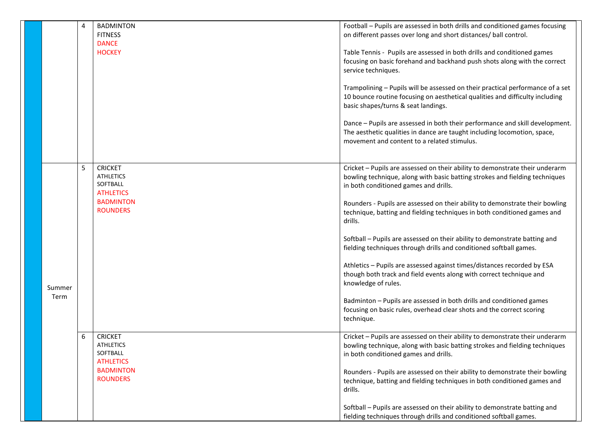|        | 4 | <b>BADMINTON</b><br><b>FITNESS</b>                                 | Football - Pupils are assessed in both drills and conditioned games focusing<br>on different passes over long and short distances/ ball control.                                                        |
|--------|---|--------------------------------------------------------------------|---------------------------------------------------------------------------------------------------------------------------------------------------------------------------------------------------------|
|        |   | <b>DANCE</b><br><b>HOCKEY</b>                                      | Table Tennis - Pupils are assessed in both drills and conditioned games<br>focusing on basic forehand and backhand push shots along with the correct<br>service techniques.                             |
|        |   |                                                                    | Trampolining - Pupils will be assessed on their practical performance of a set<br>10 bounce routine focusing on aesthetical qualities and difficulty including<br>basic shapes/turns & seat landings.   |
|        |   |                                                                    | Dance - Pupils are assessed in both their performance and skill development.<br>The aesthetic qualities in dance are taught including locomotion, space,<br>movement and content to a related stimulus. |
|        | 5 | <b>CRICKET</b><br><b>ATHLETICS</b><br>SOFTBALL<br><b>ATHLETICS</b> | Cricket - Pupils are assessed on their ability to demonstrate their underarm<br>bowling technique, along with basic batting strokes and fielding techniques<br>in both conditioned games and drills.    |
|        |   | <b>BADMINTON</b><br><b>ROUNDERS</b>                                | Rounders - Pupils are assessed on their ability to demonstrate their bowling<br>technique, batting and fielding techniques in both conditioned games and<br>drills.                                     |
|        |   |                                                                    | Softball - Pupils are assessed on their ability to demonstrate batting and<br>fielding techniques through drills and conditioned softball games.                                                        |
| Summer |   |                                                                    | Athletics - Pupils are assessed against times/distances recorded by ESA<br>though both track and field events along with correct technique and<br>knowledge of rules.                                   |
| Term   |   |                                                                    | Badminton - Pupils are assessed in both drills and conditioned games<br>focusing on basic rules, overhead clear shots and the correct scoring<br>technique.                                             |
|        | 6 | <b>CRICKET</b><br><b>ATHLETICS</b><br>SOFTBALL<br><b>ATHLETICS</b> | Cricket - Pupils are assessed on their ability to demonstrate their underarm<br>bowling technique, along with basic batting strokes and fielding techniques<br>in both conditioned games and drills.    |
|        |   | <b>BADMINTON</b><br><b>ROUNDERS</b>                                | Rounders - Pupils are assessed on their ability to demonstrate their bowling<br>technique, batting and fielding techniques in both conditioned games and<br>drills.                                     |
|        |   |                                                                    | Softball - Pupils are assessed on their ability to demonstrate batting and<br>fielding techniques through drills and conditioned softball games.                                                        |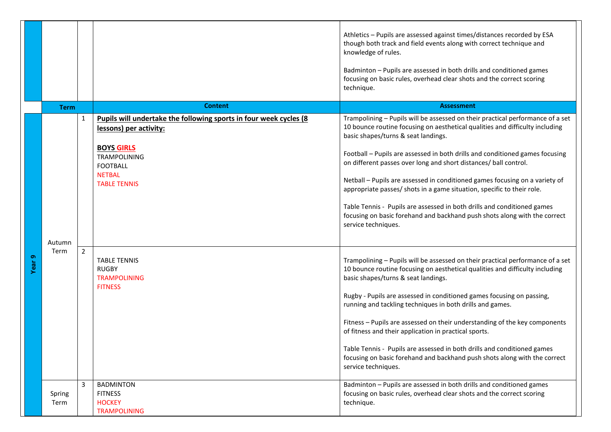|        |                |                |                                                                                                                                                                                                    | Athletics - Pupils are assessed against times/distances recorded by ESA<br>though both track and field events along with correct technique and<br>knowledge of rules.<br>Badminton - Pupils are assessed in both drills and conditioned games<br>focusing on basic rules, overhead clear shots and the correct scoring<br>technique.                                                                                                                                                                                                                                                                                                                                                              |
|--------|----------------|----------------|----------------------------------------------------------------------------------------------------------------------------------------------------------------------------------------------------|---------------------------------------------------------------------------------------------------------------------------------------------------------------------------------------------------------------------------------------------------------------------------------------------------------------------------------------------------------------------------------------------------------------------------------------------------------------------------------------------------------------------------------------------------------------------------------------------------------------------------------------------------------------------------------------------------|
|        | <b>Term</b>    |                | <b>Content</b>                                                                                                                                                                                     | <b>Assessment</b>                                                                                                                                                                                                                                                                                                                                                                                                                                                                                                                                                                                                                                                                                 |
|        | Autumn         | $\mathbf{1}$   | Pupils will undertake the following sports in four week cycles (8<br>lessons) per activity:<br><b>BOYS GIRLS</b><br><b>TRAMPOLINING</b><br><b>FOOTBALL</b><br><b>NETBAL</b><br><b>TABLE TENNIS</b> | Trampolining - Pupils will be assessed on their practical performance of a set<br>10 bounce routine focusing on aesthetical qualities and difficulty including<br>basic shapes/turns & seat landings.<br>Football - Pupils are assessed in both drills and conditioned games focusing<br>on different passes over long and short distances/ ball control.<br>Netball - Pupils are assessed in conditioned games focusing on a variety of<br>appropriate passes/ shots in a game situation, specific to their role.<br>Table Tennis - Pupils are assessed in both drills and conditioned games<br>focusing on basic forehand and backhand push shots along with the correct<br>service techniques. |
| Year 9 | Term           | $\overline{2}$ | <b>TABLE TENNIS</b><br><b>RUGBY</b><br><b>TRAMPOLINING</b><br><b>FITNESS</b>                                                                                                                       | Trampolining - Pupils will be assessed on their practical performance of a set<br>10 bounce routine focusing on aesthetical qualities and difficulty including<br>basic shapes/turns & seat landings.<br>Rugby - Pupils are assessed in conditioned games focusing on passing,<br>running and tackling techniques in both drills and games.<br>Fitness - Pupils are assessed on their understanding of the key components<br>of fitness and their application in practical sports.<br>Table Tennis - Pupils are assessed in both drills and conditioned games<br>focusing on basic forehand and backhand push shots along with the correct<br>service techniques.                                 |
|        | Spring<br>Term | 3              | <b>BADMINTON</b><br><b>FITNESS</b><br><b>HOCKEY</b><br><b>TRAMPOLINING</b>                                                                                                                         | Badminton - Pupils are assessed in both drills and conditioned games<br>focusing on basic rules, overhead clear shots and the correct scoring<br>technique.                                                                                                                                                                                                                                                                                                                                                                                                                                                                                                                                       |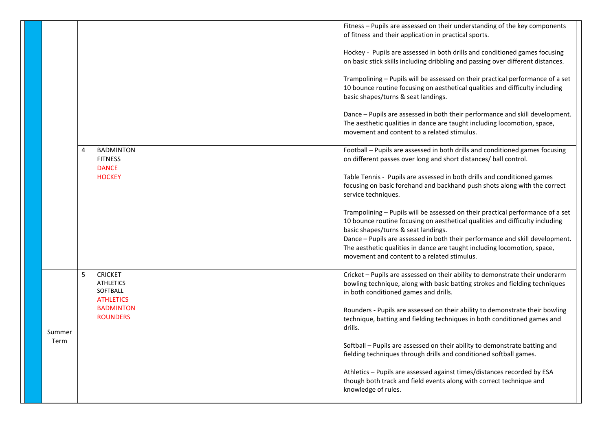|        |   |                                                                    | Fitness - Pupils are assessed on their understanding of the key components<br>of fitness and their application in practical sports.                                                                                                                                                                                                                               |
|--------|---|--------------------------------------------------------------------|-------------------------------------------------------------------------------------------------------------------------------------------------------------------------------------------------------------------------------------------------------------------------------------------------------------------------------------------------------------------|
|        |   |                                                                    | Hockey - Pupils are assessed in both drills and conditioned games focusing<br>on basic stick skills including dribbling and passing over different distances.                                                                                                                                                                                                     |
|        |   |                                                                    | Trampolining - Pupils will be assessed on their practical performance of a set<br>10 bounce routine focusing on aesthetical qualities and difficulty including<br>basic shapes/turns & seat landings.                                                                                                                                                             |
|        |   |                                                                    | Dance - Pupils are assessed in both their performance and skill development.<br>The aesthetic qualities in dance are taught including locomotion, space,<br>movement and content to a related stimulus.                                                                                                                                                           |
|        | 4 | <b>BADMINTON</b><br><b>FITNESS</b><br><b>DANCE</b>                 | Football - Pupils are assessed in both drills and conditioned games focusing<br>on different passes over long and short distances/ ball control.                                                                                                                                                                                                                  |
|        |   | <b>HOCKEY</b>                                                      | Table Tennis - Pupils are assessed in both drills and conditioned games<br>focusing on basic forehand and backhand push shots along with the correct<br>service techniques.                                                                                                                                                                                       |
|        |   |                                                                    | Trampolining - Pupils will be assessed on their practical performance of a set<br>10 bounce routine focusing on aesthetical qualities and difficulty including<br>basic shapes/turns & seat landings.<br>Dance - Pupils are assessed in both their performance and skill development.<br>The aesthetic qualities in dance are taught including locomotion, space, |
|        |   |                                                                    | movement and content to a related stimulus.                                                                                                                                                                                                                                                                                                                       |
|        | 5 | <b>CRICKET</b><br><b>ATHLETICS</b><br>SOFTBALL<br><b>ATHLETICS</b> | Cricket - Pupils are assessed on their ability to demonstrate their underarm<br>bowling technique, along with basic batting strokes and fielding techniques<br>in both conditioned games and drills.                                                                                                                                                              |
| Summer |   | <b>BADMINTON</b><br><b>ROUNDERS</b>                                | Rounders - Pupils are assessed on their ability to demonstrate their bowling<br>technique, batting and fielding techniques in both conditioned games and<br>drills.                                                                                                                                                                                               |
| Term   |   |                                                                    | Softball - Pupils are assessed on their ability to demonstrate batting and<br>fielding techniques through drills and conditioned softball games.                                                                                                                                                                                                                  |
|        |   |                                                                    | Athletics - Pupils are assessed against times/distances recorded by ESA<br>though both track and field events along with correct technique and<br>knowledge of rules.                                                                                                                                                                                             |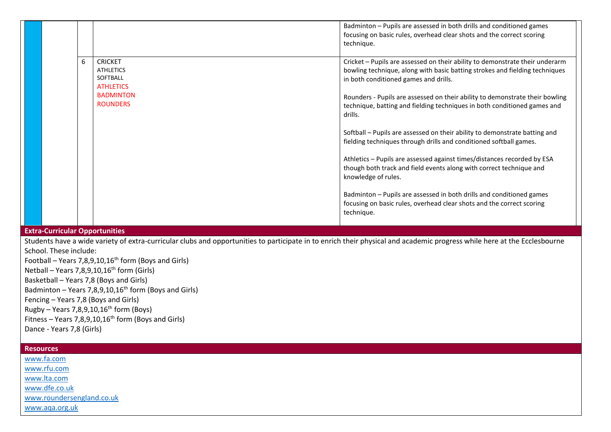|                                                                                                                                                                          |   |                                                                    | Badminton - Pupils are assessed in both drills and conditioned games<br>focusing on basic rules, overhead clear shots and the correct scoring<br>technique.                                          |  |
|--------------------------------------------------------------------------------------------------------------------------------------------------------------------------|---|--------------------------------------------------------------------|------------------------------------------------------------------------------------------------------------------------------------------------------------------------------------------------------|--|
|                                                                                                                                                                          | 6 | <b>CRICKET</b><br><b>ATHLETICS</b><br>SOFTBALL<br><b>ATHLETICS</b> | Cricket - Pupils are assessed on their ability to demonstrate their underarm<br>bowling technique, along with basic batting strokes and fielding techniques<br>in both conditioned games and drills. |  |
|                                                                                                                                                                          |   | <b>BADMINTON</b><br><b>ROUNDERS</b>                                | Rounders - Pupils are assessed on their ability to demonstrate their bowling<br>technique, batting and fielding techniques in both conditioned games and<br>drills.                                  |  |
|                                                                                                                                                                          |   |                                                                    | Softball - Pupils are assessed on their ability to demonstrate batting and<br>fielding techniques through drills and conditioned softball games.                                                     |  |
|                                                                                                                                                                          |   |                                                                    | Athletics - Pupils are assessed against times/distances recorded by ESA<br>though both track and field events along with correct technique and<br>knowledge of rules.                                |  |
|                                                                                                                                                                          |   |                                                                    | Badminton - Pupils are assessed in both drills and conditioned games<br>focusing on basic rules, overhead clear shots and the correct scoring<br>technique.                                          |  |
| <b>Extra-Curricular Opportunities</b>                                                                                                                                    |   |                                                                    |                                                                                                                                                                                                      |  |
| Students have a wide variety of extra-curricular clubs and opportunities to participate in to enrich their physical and academic progress while here at the Ecclesbourne |   |                                                                    |                                                                                                                                                                                                      |  |
| School. These include:                                                                                                                                                   |   |                                                                    |                                                                                                                                                                                                      |  |

Football – Years 7,8,9,10,16<sup>th</sup> form (Boys and Girls) Netball – Years 7,8,9,10,16<sup>th</sup> form (Girls) Basketball – Years 7,8 (Boys and Girls) Badminton – Years 7,8,9,10,16th form (Boys and Girls) Fencing – Years 7,8 (Boys and Girls)  $Rugby - Years 7,8,9,10,16<sup>th</sup> form (Boys)$ Fitness – Years 7,8,9,10,16<sup>th</sup> form (Boys and Girls) Dance - Years 7,8 (Girls)

| <b>Resources</b>          |
|---------------------------|
| www.fa.com                |
| www.rfu.com               |
| www.lta.com               |
| www.dfe.co.uk             |
| www.roundersengland.co.uk |
| www.aqa.org.uk            |